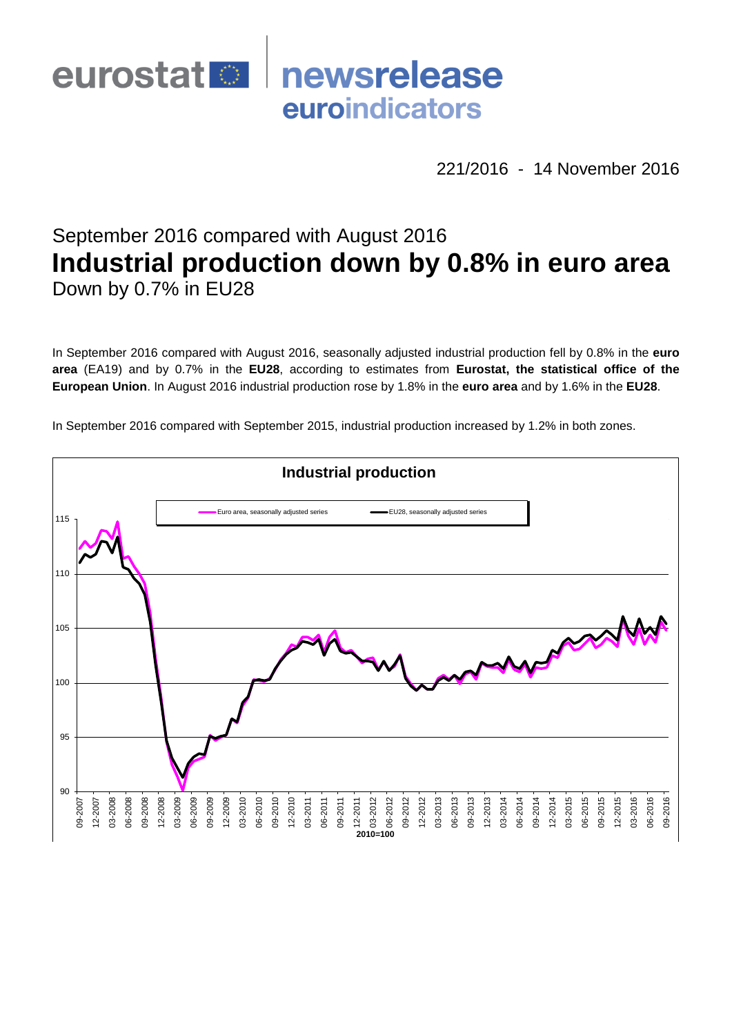

221/2016 - 14 November 2016

# September 2016 compared with August 2016 **Industrial production down by 0.8% in euro area** Down by 0.7% in EU28

In September 2016 compared with August 2016, seasonally adjusted industrial production fell by 0.8% in the **euro area** (EA19) and by 0.7% in the **EU28**, according to estimates from **Eurostat, the statistical office of the European Union**. In August 2016 industrial production rose by 1.8% in the **euro area** and by 1.6% in the **EU28**.

In September 2016 compared with September 2015, industrial production increased by 1.2% in both zones.

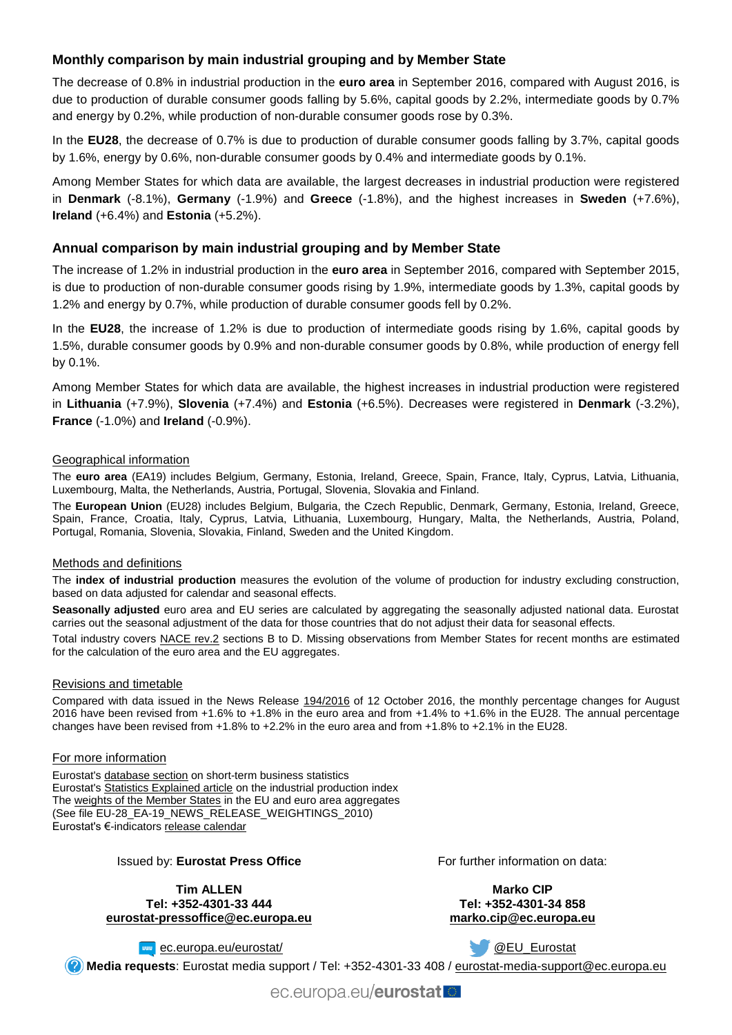## **Monthly comparison by main industrial grouping and by Member State**

The decrease of 0.8% in industrial production in the **euro area** in September 2016, compared with August 2016, is due to production of durable consumer goods falling by 5.6%, capital goods by 2.2%, intermediate goods by 0.7% and energy by 0.2%, while production of non-durable consumer goods rose by 0.3%.

In the **EU28**, the decrease of 0.7% is due to production of durable consumer goods falling by 3.7%, capital goods by 1.6%, energy by 0.6%, non-durable consumer goods by 0.4% and intermediate goods by 0.1%.

Among Member States for which data are available, the largest decreases in industrial production were registered in **Denmark** (-8.1%), **Germany** (-1.9%) and **Greece** (-1.8%), and the highest increases in **Sweden** (+7.6%), **Ireland** (+6.4%) and **Estonia** (+5.2%).

## **Annual comparison by main industrial grouping and by Member State**

The increase of 1.2% in industrial production in the **euro area** in September 2016, compared with September 2015, is due to production of non-durable consumer goods rising by 1.9%, intermediate goods by 1.3%, capital goods by 1.2% and energy by 0.7%, while production of durable consumer goods fell by 0.2%.

In the **EU28**, the increase of 1.2% is due to production of intermediate goods rising by 1.6%, capital goods by 1.5%, durable consumer goods by 0.9% and non-durable consumer goods by 0.8%, while production of energy fell by 0.1%.

Among Member States for which data are available, the highest increases in industrial production were registered in **Lithuania** (+7.9%), **Slovenia** (+7.4%) and **Estonia** (+6.5%). Decreases were registered in **Denmark** (-3.2%), **France** (-1.0%) and **Ireland** (-0.9%).

#### Geographical information

The **euro area** (EA19) includes Belgium, Germany, Estonia, Ireland, Greece, Spain, France, Italy, Cyprus, Latvia, Lithuania, Luxembourg, Malta, the Netherlands, Austria, Portugal, Slovenia, Slovakia and Finland.

The **European Union** (EU28) includes Belgium, Bulgaria, the Czech Republic, Denmark, Germany, Estonia, Ireland, Greece, Spain, France, Croatia, Italy, Cyprus, Latvia, Lithuania, Luxembourg, Hungary, Malta, the Netherlands, Austria, Poland, Portugal, Romania, Slovenia, Slovakia, Finland, Sweden and the United Kingdom.

#### Methods and definitions

The **index of industrial production** measures the evolution of the volume of production for industry excluding construction, based on data adjusted for calendar and seasonal effects.

**Seasonally adjusted** euro area and EU series are calculated by aggregating the seasonally adjusted national data. Eurostat carries out the seasonal adjustment of the data for those countries that do not adjust their data for seasonal effects.

Total industry covers [NACE rev.2](http://ec.europa.eu/eurostat/ramon/nomenclatures/index.cfm?TargetUrl=LST_NOM_DTL&StrNom=NACE_REV2&StrLanguageCode=EN&IntPcKey=&StrLayoutCode=HIERARCHIC) sections B to D. Missing observations from Member States for recent months are estimated for the calculation of the euro area and the EU aggregates.

#### Revisions and timetable

Compared with data issued in the News Release [194/2016](http://ec.europa.eu/eurostat/documents/2995521/7627740/4-14092016-AP-EN.pdf/ae93ed56-4beb-4866-8658-0587d1016701) of 12 October 2016, the monthly percentage changes for August 2016 have been revised from +1.6% to +1.8% in the euro area and from +1.4% to +1.6% in the EU28. The annual percentage changes have been revised from +1.8% to +2.2% in the euro area and from +1.8% to +2.1% in the EU28.

#### For more information

Eurostat's [database section](http://ec.europa.eu/eurostat/web/short-term-business-statistics/data/database) on short-term business statistics Eurostat's [Statistics Explained article](http://ec.europa.eu/eurostat/statistics-explained/index.php/Industrial_production_(volume)_index_overview) on the industrial production index Th[e weights of the Member States](https://circabc.europa.eu/w/browse/5e6d1e48-056c-4c6a-8278-3ab138bcf575) in the EU and euro area aggregates (See file EU-28\_EA-19\_NEWS\_RELEASE\_WEIGHTINGS\_2010) Eurostat's €-indicators [release calendar](http://ec.europa.eu/eurostat/news/release-calendar)

#### Issued by: **Eurostat Press Office**

**Tim ALLEN Tel: +352-4301-33 444 [eurostat-pressoffice@ec.europa.eu](mailto:eurostat-pressoffice@ec.europa.eu)** For further information on data:

**Marko CIP Tel: +352-4301-34 858 [marko.cip@ec.europa.eu](mailto:marko.cip@ec.europa.eu)**

**www** [ec.europa.eu/eurostat/](http://ec.europa.eu/eurostat/)

[@EU\\_Eurostat](http://twitter.com/EU_Eurostat)

**Media requests**: Eurostat media support / Tel: +352-4301-33 408 / [eurostat-media-support@ec.europa.eu](mailto:eurostat-media-support@ec.europa.eu)

ec.europa.eu/eurostat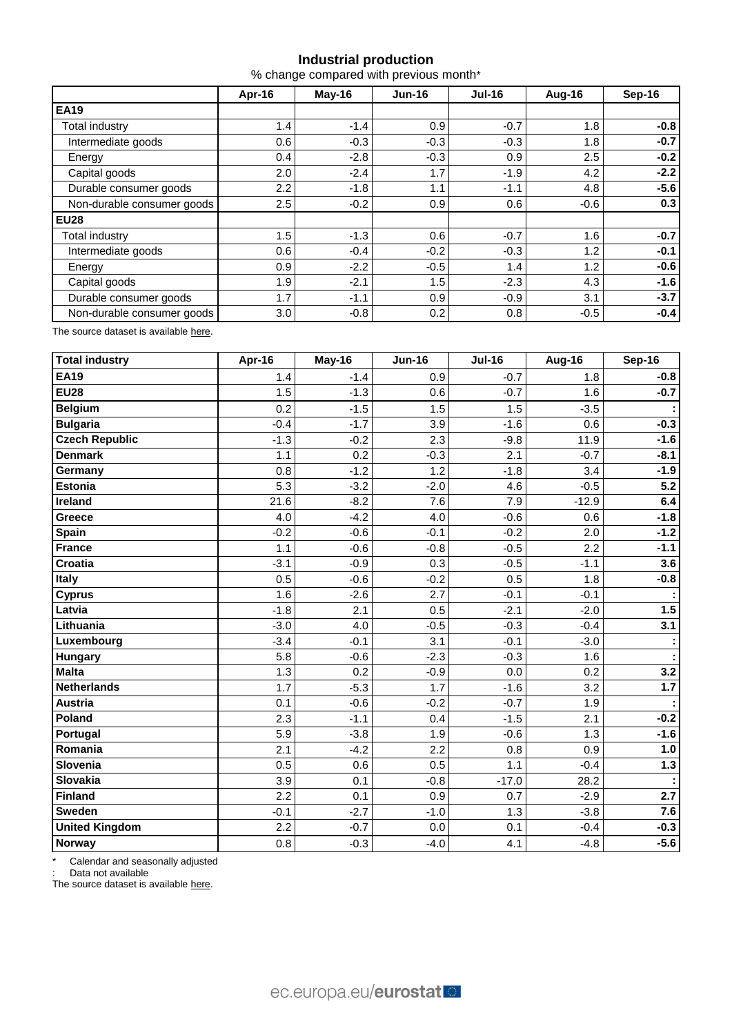## **Industrial production**

% change compared with previous month\*

|                            | Apr-16 | $May-16$ | $Jun-16$ | $Jul-16$ | Aug-16 | Sep-16 |  |
|----------------------------|--------|----------|----------|----------|--------|--------|--|
| <b>EA19</b>                |        |          |          |          |        |        |  |
| Total industry             | 1.4    | $-1.4$   | 0.9      | $-0.7$   | 1.8    | $-0.8$ |  |
| Intermediate goods         | 0.6    | $-0.3$   | $-0.3$   | $-0.3$   | 1.8    | $-0.7$ |  |
| Energy                     | 0.4    | $-2.8$   | $-0.3$   | 0.9      | 2.5    | $-0.2$ |  |
| Capital goods              | 2.0    | $-2.4$   | 1.7      | $-1.9$   | 4.2    | $-2.2$ |  |
| Durable consumer goods     | 2.2    | $-1.8$   | 1.1      | $-1.1$   | 4.8    | $-5.6$ |  |
| Non-durable consumer goods | 2.5    | $-0.2$   | 0.9      | 0.6      | $-0.6$ | 0.3    |  |
| <b>EU28</b>                |        |          |          |          |        |        |  |
| Total industry             | 1.5    | $-1.3$   | 0.6      | $-0.7$   | 1.6    | $-0.7$ |  |
| Intermediate goods         | 0.6    | $-0.4$   | $-0.2$   | $-0.3$   | 1.2    | $-0.1$ |  |
| Energy                     | 0.9    | $-2.2$   | $-0.5$   | 1.4      | 1.2    | $-0.6$ |  |
| Capital goods              | 1.9    | $-2.1$   | 1.5      | $-2.3$   | 4.3    | $-1.6$ |  |
| Durable consumer goods     | 1.7    | $-1.1$   | 0.9      | $-0.9$   | 3.1    | $-3.7$ |  |
| Non-durable consumer goods | 3.0    | $-0.8$   | 0.2      | 0.8      | $-0.5$ | $-0.4$ |  |

The source dataset is available [here.](http://appsso.eurostat.ec.europa.eu/nui/show.do?query=BOOKMARK_DS-069583_QID_-53045BCF_UID_-3F171EB0&layout=TIME,C,X,0;GEO,L,Y,0;NACE_R2,L,Y,1;INDIC_BT,L,Z,0;S_ADJ,L,Z,1;UNIT,L,Z,2;INDICATORS,C,Z,3;&zSelection=DS-069583UNIT,PCH_PRE;DS-069583S_ADJ,SCA;DS-069583INDIC_BT,PROD;DS-069583INDICATORS,OBS_FLAG;&rankName1=UNIT_1_2_-1_2&rankName2=INDIC-BT_1_2_-1_2&rankName3=INDICATORS_1_2_-1_2&rankName4=S-ADJ_1_2_-1_2&rankName5=TIME_1_0_0_0&rankName6=GEO_1_0_0_1&rankName7=NACE-R2_1_2_1_1&sortR=ASC_-1_FIRST&sortC=ASC_-1_FIRST&rStp=&cStp=&rDCh=&cDCh=&rDM=true&cDM=true&footnes=false&empty=false&wai=false&time_mode=ROLLING&time_most_recent=true&lang=EN&cfo=%23%23%23%2C%23%23%23.%23%23%23)

| <b>Total industry</b> | Apr-16 | May-16 | <b>Jun-16</b> | <b>Jul-16</b> | Aug-16  | <b>Sep-16</b> |
|-----------------------|--------|--------|---------------|---------------|---------|---------------|
| <b>EA19</b>           | 1.4    | $-1.4$ | 0.9           | $-0.7$        | 1.8     | $-0.8$        |
| <b>EU28</b>           | 1.5    | $-1.3$ | 0.6           | $-0.7$        | 1.6     | $-0.7$        |
| <b>Belgium</b>        | 0.2    | $-1.5$ | 1.5           | 1.5           | $-3.5$  |               |
| <b>Bulgaria</b>       | $-0.4$ | $-1.7$ | 3.9           | $-1.6$        | 0.6     | $-0.3$        |
| <b>Czech Republic</b> | $-1.3$ | $-0.2$ | 2.3           | $-9.8$        | 11.9    | $-1.6$        |
| <b>Denmark</b>        | 1.1    | 0.2    | $-0.3$        | 2.1           | $-0.7$  | $-8.1$        |
| Germany               | 0.8    | $-1.2$ | 1.2           | $-1.8$        | 3.4     | $-1.9$        |
| <b>Estonia</b>        | 5.3    | $-3.2$ | $-2.0$        | 4.6           | $-0.5$  | 5.2           |
| Ireland               | 21.6   | $-8.2$ | 7.6           | 7.9           | $-12.9$ | 6.4           |
| Greece                | 4.0    | $-4.2$ | 4.0           | $-0.6$        | 0.6     | $-1.8$        |
| Spain                 | $-0.2$ | $-0.6$ | $-0.1$        | $-0.2$        | 2.0     | $-1.2$        |
| <b>France</b>         | 1.1    | $-0.6$ | $-0.8$        | $-0.5$        | 2.2     | $-1.1$        |
| Croatia               | $-3.1$ | $-0.9$ | 0.3           | $-0.5$        | $-1.1$  | 3.6           |
| Italy                 | 0.5    | $-0.6$ | $-0.2$        | 0.5           | 1.8     | $-0.8$        |
| <b>Cyprus</b>         | 1.6    | $-2.6$ | 2.7           | $-0.1$        | $-0.1$  |               |
| Latvia                | $-1.8$ | 2.1    | 0.5           | $-2.1$        | $-2.0$  | 1.5           |
| Lithuania             | $-3.0$ | 4.0    | $-0.5$        | $-0.3$        | $-0.4$  | 3.1           |
| Luxembourg            | $-3.4$ | $-0.1$ | 3.1           | $-0.1$        | $-3.0$  |               |
| Hungary               | 5.8    | $-0.6$ | $-2.3$        | $-0.3$        | 1.6     |               |
| <b>Malta</b>          | 1.3    | 0.2    | $-0.9$        | 0.0           | 0.2     | 3.2           |
| <b>Netherlands</b>    | 1.7    | $-5.3$ | 1.7           | $-1.6$        | 3.2     | $1.7$         |
| <b>Austria</b>        | 0.1    | $-0.6$ | $-0.2$        | $-0.7$        | 1.9     |               |
| Poland                | 2.3    | $-1.1$ | 0.4           | $-1.5$        | 2.1     | $-0.2$        |
| Portugal              | 5.9    | $-3.8$ | 1.9           | $-0.6$        | 1.3     | $-1.6$        |
| Romania               | 2.1    | $-4.2$ | 2.2           | 0.8           | 0.9     | 1.0           |
| Slovenia              | 0.5    | 0.6    | 0.5           | 1.1           | $-0.4$  | $1.3$         |
| <b>Slovakia</b>       | 3.9    | 0.1    | $-0.8$        | $-17.0$       | 28.2    |               |
| <b>Finland</b>        | 2.2    | 0.1    | 0.9           | 0.7           | $-2.9$  | 2.7           |
| <b>Sweden</b>         | $-0.1$ | $-2.7$ | $-1.0$        | 1.3           | $-3.8$  | 7.6           |
| <b>United Kingdom</b> | 2.2    | $-0.7$ | 0.0           | 0.1           | $-0.4$  | $-0.3$        |
| <b>Norway</b>         | 0.8    | $-0.3$ | $-4.0$        | 4.1           | $-4.8$  | $-5.6$        |

\* Calendar and seasonally adjusted

: Data not available

The source dataset is available [here.](http://appsso.eurostat.ec.europa.eu/nui/show.do?query=BOOKMARK_DS-069583_QID_-3986CD57_UID_-3F171EB0&layout=TIME,C,X,0;GEO,L,Y,0;INDIC_BT,L,Z,0;S_ADJ,L,Z,1;UNIT,L,Z,2;NACE_R2,L,Z,3;INDICATORS,C,Z,4;&zSelection=DS-069583UNIT,PCH_PRE;DS-069583S_ADJ,SCA;DS-069583INDIC_BT,PROD;DS-069583INDICATORS,OBS_FLAG;DS-069583NACE_R2,B-D;&rankName1=UNIT_1_2_-1_2&rankName2=INDIC-BT_1_2_-1_2&rankName3=INDICATORS_1_2_-1_2&rankName4=S-ADJ_1_2_-1_2&rankName5=NACE-R2_1_2_-1_2&rankName6=TIME_1_0_0_0&rankName7=GEO_1_2_0_1&sortC=ASC_-1_FIRST&rStp=&cStp=&rDCh=&cDCh=&rDM=true&cDM=true&footnes=false&empty=false&wai=false&time_mode=ROLLING&time_most_recent=true&lang=EN&cfo=%23%23%23%2C%23%23%23.%23%23%23)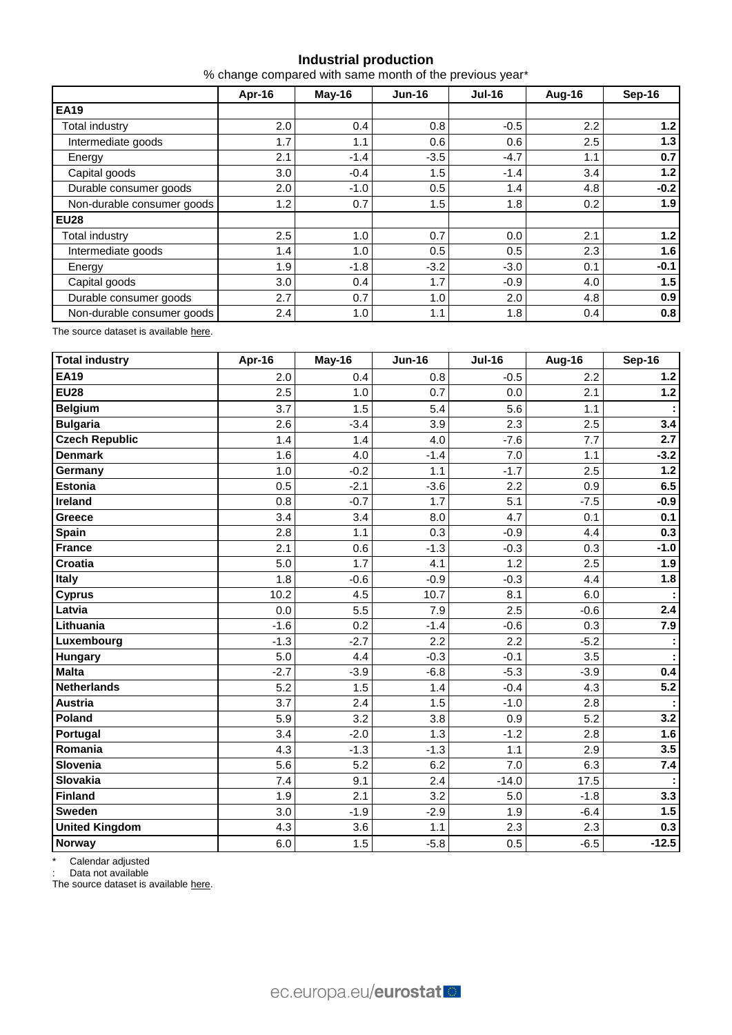## **Industrial production**

% change compared with same month of the previous year\*

|                            | Apr-16 | $May-16$ | $Jun-16$ | <b>Jul-16</b> | Aug-16 | Sep-16 |
|----------------------------|--------|----------|----------|---------------|--------|--------|
| <b>EA19</b>                |        |          |          |               |        |        |
| Total industry             | 2.0    | 0.4      | 0.8      | $-0.5$        | 2.2    | 1.2    |
| Intermediate goods         | 1.7    | 1.1      | 0.6      | 0.6           | 2.5    | 1.3    |
| Energy                     | 2.1    | $-1.4$   | $-3.5$   | $-4.7$        | 1.1    | 0.7    |
| Capital goods              | 3.0    | $-0.4$   | 1.5      | $-1.4$        | 3.4    | 1.2    |
| Durable consumer goods     | 2.0    | $-1.0$   | 0.5      | 1.4           | 4.8    | $-0.2$ |
| Non-durable consumer goods | 1.2    | 0.7      | 1.5      | 1.8           | 0.2    | 1.9    |
| <b>EU28</b>                |        |          |          |               |        |        |
| Total industry             | 2.5    | 1.0      | 0.7      | 0.0           | 2.1    | 1.2    |
| Intermediate goods         | 1.4    | 1.0      | 0.5      | 0.5           | 2.3    | 1.6    |
| Energy                     | 1.9    | $-1.8$   | $-3.2$   | $-3.0$        | 0.1    | $-0.1$ |
| Capital goods              | 3.0    | 0.4      | 1.7      | $-0.9$        | 4.0    | 1.5    |
| Durable consumer goods     | 2.7    | 0.7      | 1.0      | 2.0           | 4.8    | 0.9    |
| Non-durable consumer goods | 2.4    | 1.0      | 1.1      | 1.8           | 0.4    | 0.8    |

The source dataset is available [here.](http://appsso.eurostat.ec.europa.eu/nui/show.do?query=BOOKMARK_DS-069583_QID_-628F3FF0_UID_-3F171EB0&layout=TIME,C,X,0;GEO,L,Y,0;NACE_R2,L,Y,1;INDIC_BT,L,Z,0;S_ADJ,L,Z,1;UNIT,L,Z,2;INDICATORS,C,Z,3;&zSelection=DS-069583UNIT,PCH_PRE;DS-069583S_ADJ,SCA;DS-069583INDIC_BT,PROD;DS-069583INDICATORS,OBS_FLAG;&rankName1=UNIT_1_2_-1_2&rankName2=INDIC-BT_1_2_-1_2&rankName3=INDICATORS_1_2_-1_2&rankName4=S-ADJ_1_2_-1_2&rankName5=TIME_1_0_0_0&rankName6=GEO_1_0_0_1&rankName7=NACE-R2_1_2_1_1&sortR=ASC_-1_FIRST&sortC=ASC_-1_FIRST&rStp=&cStp=&rDCh=&cDCh=&rDM=true&cDM=true&footnes=false&empty=false&wai=false&time_mode=ROLLING&time_most_recent=true&lang=EN&cfo=%23%23%23%2C%23%23%23.%23%23%23)

| <b>Total industry</b> | Apr-16 | May-16 | <b>Jun-16</b> | <b>Jul-16</b> | Aug-16 | Sep-16  |
|-----------------------|--------|--------|---------------|---------------|--------|---------|
| <b>EA19</b>           | 2.0    | 0.4    | 0.8           | $-0.5$        | 2.2    | $1.2$   |
| <b>EU28</b>           | 2.5    | 1.0    | 0.7           | 0.0           | 2.1    | $1.2$   |
| <b>Belgium</b>        | 3.7    | 1.5    | 5.4           | 5.6           | 1.1    |         |
| <b>Bulgaria</b>       | 2.6    | $-3.4$ | 3.9           | 2.3           | 2.5    | 3.4     |
| <b>Czech Republic</b> | 1.4    | 1.4    | 4.0           | $-7.6$        | 7.7    | 2.7     |
| <b>Denmark</b>        | 1.6    | 4.0    | $-1.4$        | 7.0           | 1.1    | $-3.2$  |
| Germany               | 1.0    | $-0.2$ | 1.1           | $-1.7$        | 2.5    | $1.2$   |
| <b>Estonia</b>        | 0.5    | $-2.1$ | $-3.6$        | 2.2           | 0.9    | 6.5     |
| Ireland               | 0.8    | $-0.7$ | 1.7           | 5.1           | $-7.5$ | $-0.9$  |
| Greece                | 3.4    | 3.4    | 8.0           | 4.7           | 0.1    | 0.1     |
| <b>Spain</b>          | 2.8    | 1.1    | 0.3           | $-0.9$        | 4.4    | 0.3     |
| <b>France</b>         | 2.1    | 0.6    | $-1.3$        | $-0.3$        | 0.3    | $-1.0$  |
| Croatia               | 5.0    | 1.7    | 4.1           | 1.2           | 2.5    | 1.9     |
| Italy                 | 1.8    | $-0.6$ | $-0.9$        | $-0.3$        | 4.4    | 1.8     |
| <b>Cyprus</b>         | 10.2   | 4.5    | 10.7          | 8.1           | 6.0    |         |
| Latvia                | 0.0    | 5.5    | 7.9           | 2.5           | $-0.6$ | 2.4     |
| Lithuania             | $-1.6$ | 0.2    | $-1.4$        | $-0.6$        | 0.3    | 7.9     |
| Luxembourg            | $-1.3$ | $-2.7$ | 2.2           | 2.2           | $-5.2$ |         |
| Hungary               | 5.0    | 4.4    | $-0.3$        | $-0.1$        | 3.5    |         |
| <b>Malta</b>          | $-2.7$ | $-3.9$ | $-6.8$        | $-5.3$        | $-3.9$ | 0.4     |
| <b>Netherlands</b>    | 5.2    | 1.5    | 1.4           | $-0.4$        | 4.3    | $5.2$   |
| Austria               | 3.7    | 2.4    | 1.5           | $-1.0$        | 2.8    |         |
| Poland                | 5.9    | 3.2    | 3.8           | 0.9           | 5.2    | 3.2     |
| Portugal              | 3.4    | $-2.0$ | 1.3           | $-1.2$        | 2.8    | 1.6     |
| Romania               | 4.3    | $-1.3$ | $-1.3$        | 1.1           | 2.9    | 3.5     |
| Slovenia              | 5.6    | 5.2    | 6.2           | 7.0           | 6.3    | 7.4     |
| <b>Slovakia</b>       | 7.4    | 9.1    | 2.4           | $-14.0$       | 17.5   |         |
| <b>Finland</b>        | 1.9    | 2.1    | 3.2           | 5.0           | $-1.8$ | 3.3     |
| Sweden                | 3.0    | $-1.9$ | $-2.9$        | 1.9           | $-6.4$ | 1.5     |
| <b>United Kingdom</b> | 4.3    | 3.6    | 1.1           | 2.3           | 2.3    | 0.3     |
| Norway                | 6.0    | 1.5    | $-5.8$        | 0.5           | $-6.5$ | $-12.5$ |

\* Calendar adjusted

: Data not available

The source dataset is available [here.](http://appsso.eurostat.ec.europa.eu/nui/show.do?query=BOOKMARK_DS-069583_QID_690FAA53_UID_-3F171EB0&layout=TIME,C,X,0;GEO,L,Y,0;NACE_R2,L,Y,1;INDIC_BT,L,Z,0;S_ADJ,L,Z,1;UNIT,L,Z,2;INDICATORS,C,Z,3;&zSelection=DS-069583UNIT,PCH_SM;DS-069583S_ADJ,CA;DS-069583INDIC_BT,PROD;DS-069583INDICATORS,OBS_FLAG;&rankName1=UNIT_1_2_-1_2&rankName2=INDIC-BT_1_2_-1_2&rankName3=INDICATORS_1_2_-1_2&rankName4=S-ADJ_1_2_-1_2&rankName5=TIME_1_0_0_0&rankName6=GEO_1_2_0_1&rankName7=NACE-R2_1_2_1_1&sortC=ASC_-1_FIRST&rStp=&cStp=&rDCh=&cDCh=&rDM=true&cDM=true&footnes=false&empty=false&wai=false&time_mode=ROLLING&time_most_recent=true&lang=EN&cfo=%23%23%23%2C%23%23%23.%23%23%23)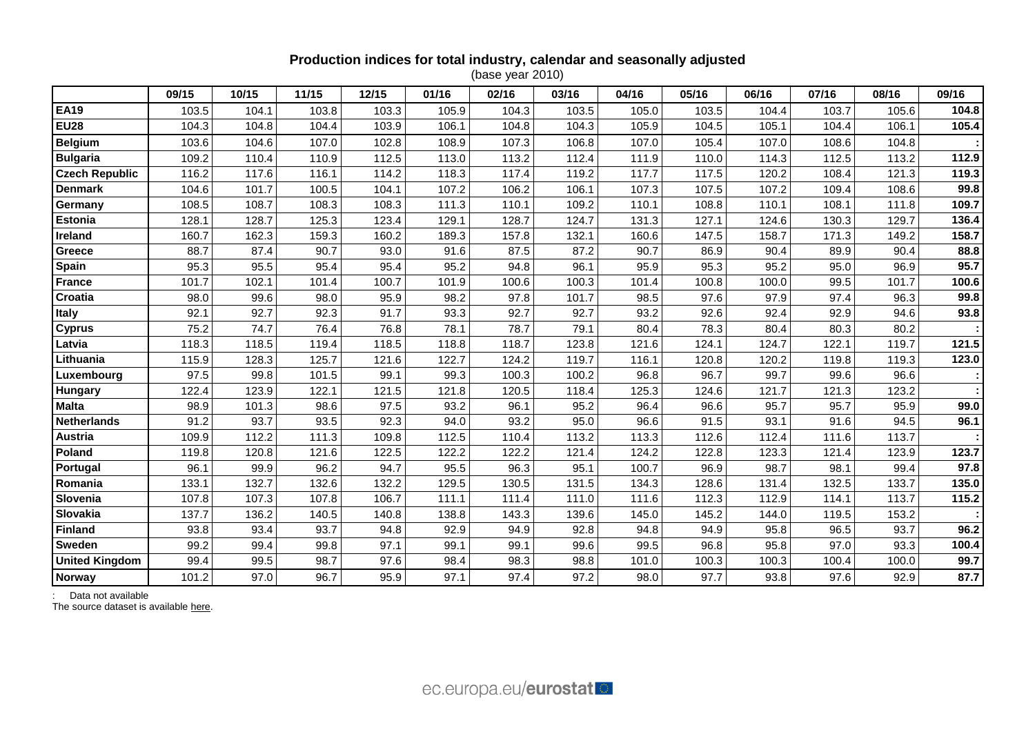## **Production indices for total industry, calendar and seasonally adjusted**

(base year 2010)

|                       | 09/15 | 10/15 | 11/15 | 12/15 | 01/16 | 02/16 | 03/16 | 04/16 | 05/16 | 06/16 | 07/16 | 08/16 | 09/16 |
|-----------------------|-------|-------|-------|-------|-------|-------|-------|-------|-------|-------|-------|-------|-------|
| <b>EA19</b>           | 103.5 | 104.1 | 103.8 | 103.3 | 105.9 | 104.3 | 103.5 | 105.0 | 103.5 | 104.4 | 103.7 | 105.6 | 104.8 |
| <b>EU28</b>           | 104.3 | 104.8 | 104.4 | 103.9 | 106.1 | 104.8 | 104.3 | 105.9 | 104.5 | 105.1 | 104.4 | 106.1 | 105.4 |
| <b>Belgium</b>        | 103.6 | 104.6 | 107.0 | 102.8 | 108.9 | 107.3 | 106.8 | 107.0 | 105.4 | 107.0 | 108.6 | 104.8 |       |
| <b>Bulgaria</b>       | 109.2 | 110.4 | 110.9 | 112.5 | 113.0 | 113.2 | 112.4 | 111.9 | 110.0 | 114.3 | 112.5 | 113.2 | 112.9 |
| <b>Czech Republic</b> | 116.2 | 117.6 | 116.1 | 114.2 | 118.3 | 117.4 | 119.2 | 117.7 | 117.5 | 120.2 | 108.4 | 121.3 | 119.3 |
| <b>Denmark</b>        | 104.6 | 101.7 | 100.5 | 104.1 | 107.2 | 106.2 | 106.1 | 107.3 | 107.5 | 107.2 | 109.4 | 108.6 | 99.8  |
| Germany               | 108.5 | 108.7 | 108.3 | 108.3 | 111.3 | 110.1 | 109.2 | 110.1 | 108.8 | 110.1 | 108.1 | 111.8 | 109.7 |
| <b>Estonia</b>        | 128.1 | 128.7 | 125.3 | 123.4 | 129.1 | 128.7 | 124.7 | 131.3 | 127.1 | 124.6 | 130.3 | 129.7 | 136.4 |
| Ireland               | 160.7 | 162.3 | 159.3 | 160.2 | 189.3 | 157.8 | 132.1 | 160.6 | 147.5 | 158.7 | 171.3 | 149.2 | 158.7 |
| Greece                | 88.7  | 87.4  | 90.7  | 93.0  | 91.6  | 87.5  | 87.2  | 90.7  | 86.9  | 90.4  | 89.9  | 90.4  | 88.8  |
| <b>Spain</b>          | 95.3  | 95.5  | 95.4  | 95.4  | 95.2  | 94.8  | 96.1  | 95.9  | 95.3  | 95.2  | 95.0  | 96.9  | 95.7  |
| <b>France</b>         | 101.7 | 102.1 | 101.4 | 100.7 | 101.9 | 100.6 | 100.3 | 101.4 | 100.8 | 100.0 | 99.5  | 101.7 | 100.6 |
| Croatia               | 98.0  | 99.6  | 98.0  | 95.9  | 98.2  | 97.8  | 101.7 | 98.5  | 97.6  | 97.9  | 97.4  | 96.3  | 99.8  |
| <b>Italy</b>          | 92.1  | 92.7  | 92.3  | 91.7  | 93.3  | 92.7  | 92.7  | 93.2  | 92.6  | 92.4  | 92.9  | 94.6  | 93.8  |
| <b>Cyprus</b>         | 75.2  | 74.7  | 76.4  | 76.8  | 78.1  | 78.7  | 79.1  | 80.4  | 78.3  | 80.4  | 80.3  | 80.2  |       |
| Latvia                | 118.3 | 118.5 | 119.4 | 118.5 | 118.8 | 118.7 | 123.8 | 121.6 | 124.1 | 124.7 | 122.1 | 119.7 | 121.5 |
| Lithuania             | 115.9 | 128.3 | 125.7 | 121.6 | 122.7 | 124.2 | 119.7 | 116.1 | 120.8 | 120.2 | 119.8 | 119.3 | 123.0 |
| Luxembourg            | 97.5  | 99.8  | 101.5 | 99.1  | 99.3  | 100.3 | 100.2 | 96.8  | 96.7  | 99.7  | 99.6  | 96.6  |       |
| Hungary               | 122.4 | 123.9 | 122.1 | 121.5 | 121.8 | 120.5 | 118.4 | 125.3 | 124.6 | 121.7 | 121.3 | 123.2 |       |
| <b>Malta</b>          | 98.9  | 101.3 | 98.6  | 97.5  | 93.2  | 96.1  | 95.2  | 96.4  | 96.6  | 95.7  | 95.7  | 95.9  | 99.0  |
| <b>Netherlands</b>    | 91.2  | 93.7  | 93.5  | 92.3  | 94.0  | 93.2  | 95.0  | 96.6  | 91.5  | 93.1  | 91.6  | 94.5  | 96.1  |
| Austria               | 109.9 | 112.2 | 111.3 | 109.8 | 112.5 | 110.4 | 113.2 | 113.3 | 112.6 | 112.4 | 111.6 | 113.7 |       |
| Poland                | 119.8 | 120.8 | 121.6 | 122.5 | 122.2 | 122.2 | 121.4 | 124.2 | 122.8 | 123.3 | 121.4 | 123.9 | 123.7 |
| Portugal              | 96.1  | 99.9  | 96.2  | 94.7  | 95.5  | 96.3  | 95.1  | 100.7 | 96.9  | 98.7  | 98.1  | 99.4  | 97.8  |
| Romania               | 133.1 | 132.7 | 132.6 | 132.2 | 129.5 | 130.5 | 131.5 | 134.3 | 128.6 | 131.4 | 132.5 | 133.7 | 135.0 |
| Slovenia              | 107.8 | 107.3 | 107.8 | 106.7 | 111.1 | 111.4 | 111.0 | 111.6 | 112.3 | 112.9 | 114.1 | 113.7 | 115.2 |
| Slovakia              | 137.7 | 136.2 | 140.5 | 140.8 | 138.8 | 143.3 | 139.6 | 145.0 | 145.2 | 144.0 | 119.5 | 153.2 |       |
| <b>Finland</b>        | 93.8  | 93.4  | 93.7  | 94.8  | 92.9  | 94.9  | 92.8  | 94.8  | 94.9  | 95.8  | 96.5  | 93.7  | 96.2  |
| <b>Sweden</b>         | 99.2  | 99.4  | 99.8  | 97.1  | 99.1  | 99.1  | 99.6  | 99.5  | 96.8  | 95.8  | 97.0  | 93.3  | 100.4 |
| <b>United Kingdom</b> | 99.4  | 99.5  | 98.7  | 97.6  | 98.4  | 98.3  | 98.8  | 101.0 | 100.3 | 100.3 | 100.4 | 100.0 | 99.7  |
| <b>Norway</b>         | 101.2 | 97.0  | 96.7  | 95.9  | 97.1  | 97.4  | 97.2  | 98.0  | 97.7  | 93.8  | 97.6  | 92.9  | 87.7  |

: Data not available

The source dataset is available [here.](http://appsso.eurostat.ec.europa.eu/nui/show.do?query=BOOKMARK_DS-069583_QID_24071044_UID_-3F171EB0&layout=TIME,C,X,0;GEO,L,Y,0;INDIC_BT,L,Z,0;S_ADJ,L,Z,1;UNIT,L,Z,2;NACE_R2,L,Z,3;INDICATORS,C,Z,4;&zSelection=DS-069583UNIT,I10;DS-069583S_ADJ,SCA;DS-069583INDIC_BT,PROD;DS-069583INDICATORS,OBS_FLAG;DS-069583NACE_R2,B-D;&rankName1=UNIT_1_2_-1_2&rankName2=INDIC-BT_1_2_-1_2&rankName3=INDICATORS_1_2_-1_2&rankName4=S-ADJ_1_2_-1_2&rankName5=NACE-R2_1_2_1_1&rankName6=TIME_1_0_0_0&rankName7=GEO_1_2_0_1&sortC=ASC_-1_FIRST&rStp=&cStp=&rDCh=&cDCh=&rDM=true&cDM=true&footnes=false&empty=false&wai=false&time_mode=ROLLING&time_most_recent=true&lang=EN&cfo=%23%23%23%2C%23%23%23.%23%23%23)